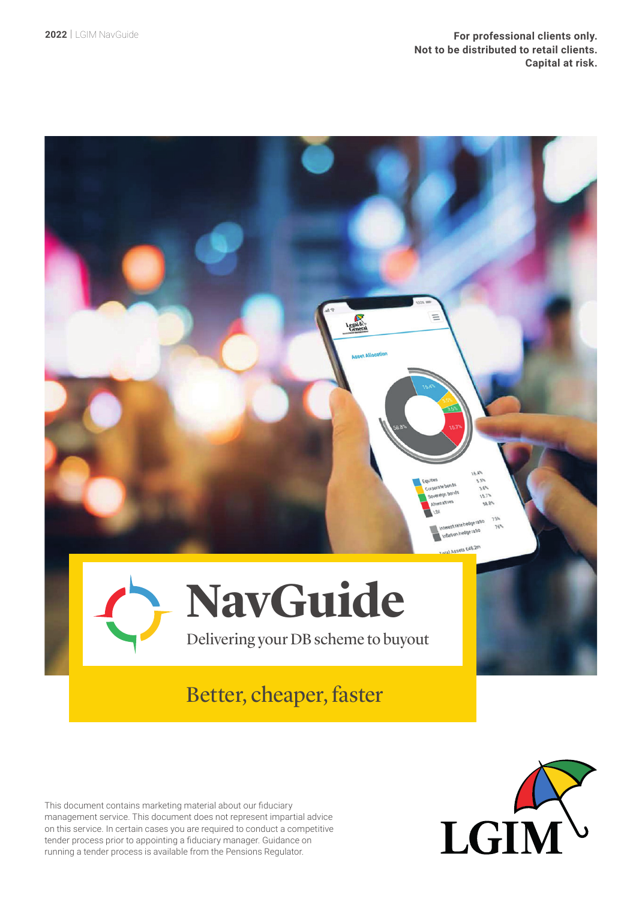

This document contains marketing material about our fiduciary management service. This document does not represent impartial advice on this service. In certain cases you are required to conduct a competitive tender process prior to appointing a fiduciary manager. Guidance on running a tender process is available from the Pensions Regulator.

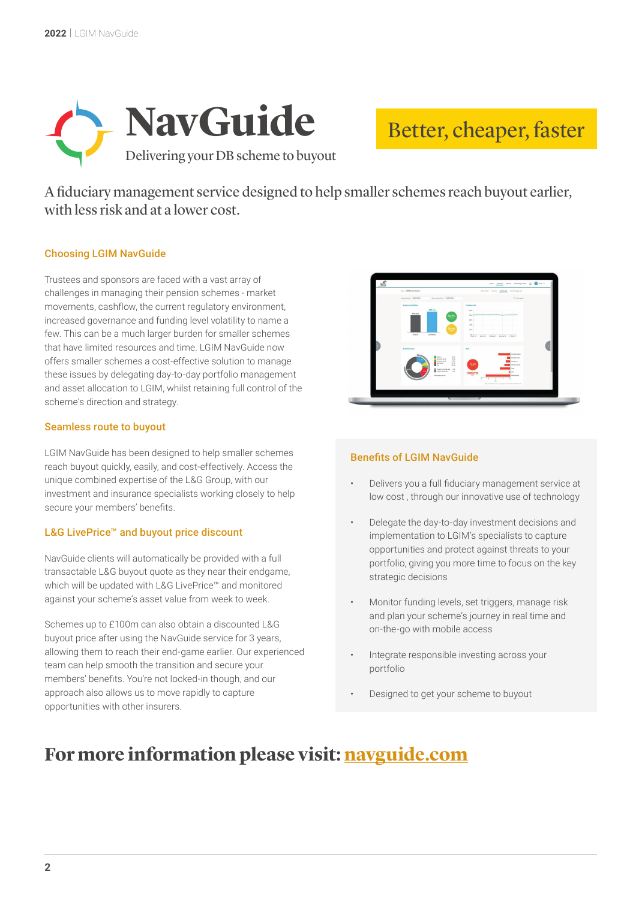

# Better, cheaper, faster

A fiduciary management service designed to help smaller schemes reach buyout earlier, with less risk and at a lower cost.

### Choosing LGIM NavGuide

Trustees and sponsors are faced with a vast array of challenges in managing their pension schemes - market movements, cashflow, the current regulatory environment, increased governance and funding level volatility to name a few. This can be a much larger burden for smaller schemes that have limited resources and time. LGIM NavGuide now offers smaller schemes a cost-effective solution to manage these issues by delegating day-to-day portfolio management and asset allocation to LGIM, whilst retaining full control of the scheme's direction and strategy.

#### Seamless route to buyout

LGIM NavGuide has been designed to help smaller schemes reach buyout quickly, easily, and cost-effectively. Access the unique combined expertise of the L&G Group, with our investment and insurance specialists working closely to help secure your members' benefits.

#### L&G LivePrice™ and buyout price discount

NavGuide clients will automatically be provided with a full transactable L&G buyout quote as they near their endgame, which will be updated with L&G LivePrice™ and monitored against your scheme's asset value from week to week.

Schemes up to £100m can also obtain a discounted L&G buyout price after using the NavGuide service for 3 years, allowing them to reach their end-game earlier. Our experienced team can help smooth the transition and secure your members' benefits. You're not locked-in though, and our approach also allows us to move rapidly to capture opportunities with other insurers.



#### Benefits of LGIM NavGuide

- Delivers you a full fiduciary management service at low cost , through our innovative use of technology
- Delegate the day-to-day investment decisions and implementation to LGIM's specialists to capture opportunities and protect against threats to your portfolio, giving you more time to focus on the key strategic decisions
- Monitor funding levels, set triggers, manage risk and plan your scheme's journey in real time and on-the-go with mobile access
- Integrate responsible investing across your portfolio
- Designed to get your scheme to buyout

## **For more information please visit: [navguide.com](http://www.navguide.com)**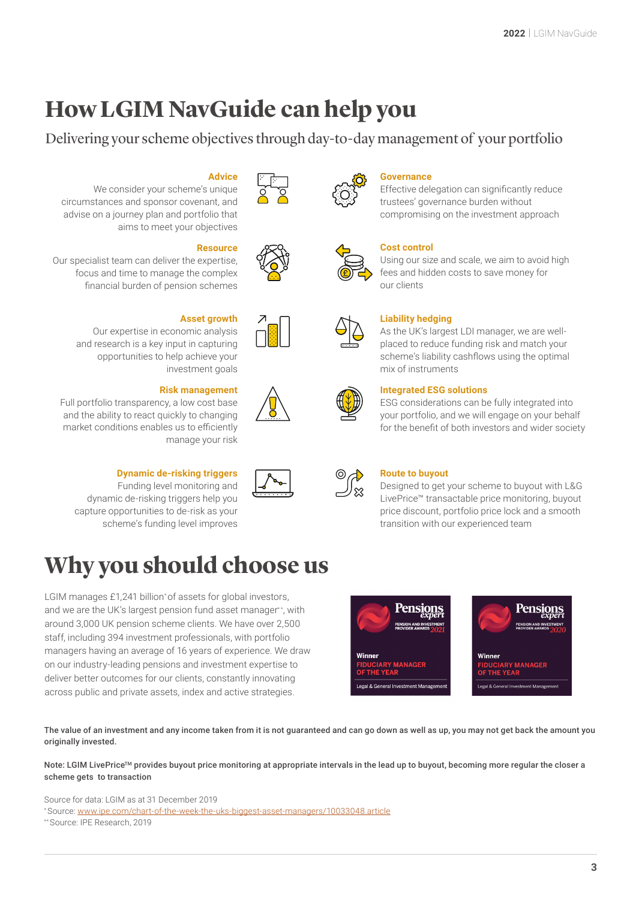# **How LGIM NavGuide can help you**

### Delivering your scheme objectives through day-to-day management of your portfolio





#### **Governance**

Effective delegation can significantly reduce trustees' governance burden without compromising on the investment approach



#### **Cost control**

Using our size and scale, we aim to avoid high fees and hidden costs to save money for our clients



#### **Liability hedging**

As the UK's largest LDI manager, we are wellplaced to reduce funding risk and match your scheme's liability cashflows using the optimal mix of instruments



#### **Integrated ESG solutions**

ESG considerations can be fully integrated into your portfolio, and we will engage on your behalf for the benefit of both investors and wider society

| ∍ |  |
|---|--|
|   |  |

#### **Route to buyout**

Designed to get your scheme to buyout with L&G LivePrice™ transactable price monitoring, buyout price discount, portfolio price lock and a smooth transition with our experienced team





**Advice**

We consider your scheme's unique circumstances and sponsor covenant, and advise on a journey plan and portfolio that aims to meet your objectives

#### **Resource**

**Asset growth**

investment goals

manage your risk

Our specialist team can deliver the expertise, focus and time to manage the complex financial burden of pension schemes



#### Our expertise in economic analysis and research is a key input in capturing opportunities to help achieve your



**Risk management** Full portfolio transparency, a low cost base and the ability to react quickly to changing market conditions enables us to efficiently



#### **Dynamic de-risking triggers**

Funding level monitoring and dynamic de-risking triggers help you capture opportunities to de-risk as your scheme's funding level improves

# **Why you should choose us**

LGIM manages £1,241 billion\* of assets for global investors, and we are the UK's largest pension fund asset manager\*\*, with around 3,000 UK pension scheme clients. We have over 2,500 staff, including 394 investment professionals, with portfolio managers having an average of 16 years of experience. We draw on our industry-leading pensions and investment expertise to deliver better outcomes for our clients, constantly innovating across public and private assets, index and active strategies.

The value of an investment and any income taken from it is not guaranteed and can go down as well as up, you may not get back the amount you originally invested.

Note: LGIM LivePrice<sup>TM</sup> provides buyout price monitoring at appropriate intervals in the lead up to buyout, becoming more regular the closer a scheme gets to transaction

Source for data: LGIM as at 31 December 2019

\*\* Source: IPE Research, 2019

<sup>\*</sup> Source: [www.ipe.com/chart-of-the-week-the-uks-biggest-asset-managers/10033048.article](http://www.ipe.com/chart-of-the-week-the-uks-biggest-asset-managers/10033048.article)